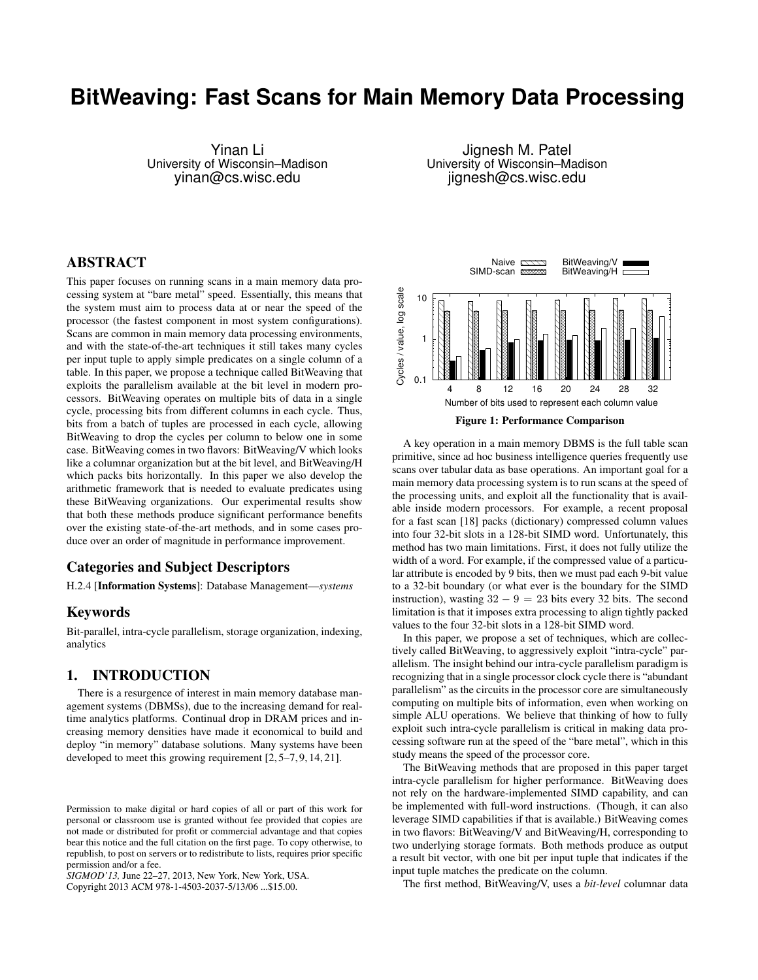# **BitWeaving: Fast Scans for Main Memory Data Processing**

Yinan Li University of Wisconsin–Madison yinan@cs.wisc.edu

Jignesh M. Patel University of Wisconsin–Madison jignesh@cs.wisc.edu

# ABSTRACT

This paper focuses on running scans in a main memory data processing system at "bare metal" speed. Essentially, this means that the system must aim to process data at or near the speed of the processor (the fastest component in most system configurations). Scans are common in main memory data processing environments, and with the state-of-the-art techniques it still takes many cycles per input tuple to apply simple predicates on a single column of a table. In this paper, we propose a technique called BitWeaving that exploits the parallelism available at the bit level in modern processors. BitWeaving operates on multiple bits of data in a single cycle, processing bits from different columns in each cycle. Thus, bits from a batch of tuples are processed in each cycle, allowing BitWeaving to drop the cycles per column to below one in some case. BitWeaving comes in two flavors: BitWeaving/V which looks like a columnar organization but at the bit level, and BitWeaving/H which packs bits horizontally. In this paper we also develop the arithmetic framework that is needed to evaluate predicates using these BitWeaving organizations. Our experimental results show that both these methods produce significant performance benefits over the existing state-of-the-art methods, and in some cases produce over an order of magnitude in performance improvement.

# Categories and Subject Descriptors

H.2.4 [Information Systems]: Database Management—*systems*

# Keywords

Bit-parallel, intra-cycle parallelism, storage organization, indexing, analytics

# 1. INTRODUCTION

There is a resurgence of interest in main memory database management systems (DBMSs), due to the increasing demand for realtime analytics platforms. Continual drop in DRAM prices and increasing memory densities have made it economical to build and deploy "in memory" database solutions. Many systems have been developed to meet this growing requirement [2, 5–7, 9, 14, 21].

*SIGMOD'13,* June 22–27, 2013, New York, New York, USA.

Copyright 2013 ACM 978-1-4503-2037-5/13/06 ...\$15.00.



Figure 1: Performance Comparison

A key operation in a main memory DBMS is the full table scan primitive, since ad hoc business intelligence queries frequently use scans over tabular data as base operations. An important goal for a main memory data processing system is to run scans at the speed of the processing units, and exploit all the functionality that is available inside modern processors. For example, a recent proposal for a fast scan [18] packs (dictionary) compressed column values into four 32-bit slots in a 128-bit SIMD word. Unfortunately, this method has two main limitations. First, it does not fully utilize the width of a word. For example, if the compressed value of a particular attribute is encoded by 9 bits, then we must pad each 9-bit value to a 32-bit boundary (or what ever is the boundary for the SIMD instruction), wasting  $32 - 9 = 23$  bits every 32 bits. The second limitation is that it imposes extra processing to align tightly packed values to the four 32-bit slots in a 128-bit SIMD word.

In this paper, we propose a set of techniques, which are collectively called BitWeaving, to aggressively exploit "intra-cycle" parallelism. The insight behind our intra-cycle parallelism paradigm is recognizing that in a single processor clock cycle there is "abundant parallelism" as the circuits in the processor core are simultaneously computing on multiple bits of information, even when working on simple ALU operations. We believe that thinking of how to fully exploit such intra-cycle parallelism is critical in making data processing software run at the speed of the "bare metal", which in this study means the speed of the processor core.

The BitWeaving methods that are proposed in this paper target intra-cycle parallelism for higher performance. BitWeaving does not rely on the hardware-implemented SIMD capability, and can be implemented with full-word instructions. (Though, it can also leverage SIMD capabilities if that is available.) BitWeaving comes in two flavors: BitWeaving/V and BitWeaving/H, corresponding to two underlying storage formats. Both methods produce as output a result bit vector, with one bit per input tuple that indicates if the input tuple matches the predicate on the column.

The first method, BitWeaving/V, uses a *bit-level* columnar data

Permission to make digital or hard copies of all or part of this work for personal or classroom use is granted without fee provided that copies are not made or distributed for profit or commercial advantage and that copies bear this notice and the full citation on the first page. To copy otherwise, to republish, to post on servers or to redistribute to lists, requires prior specific permission and/or a fee.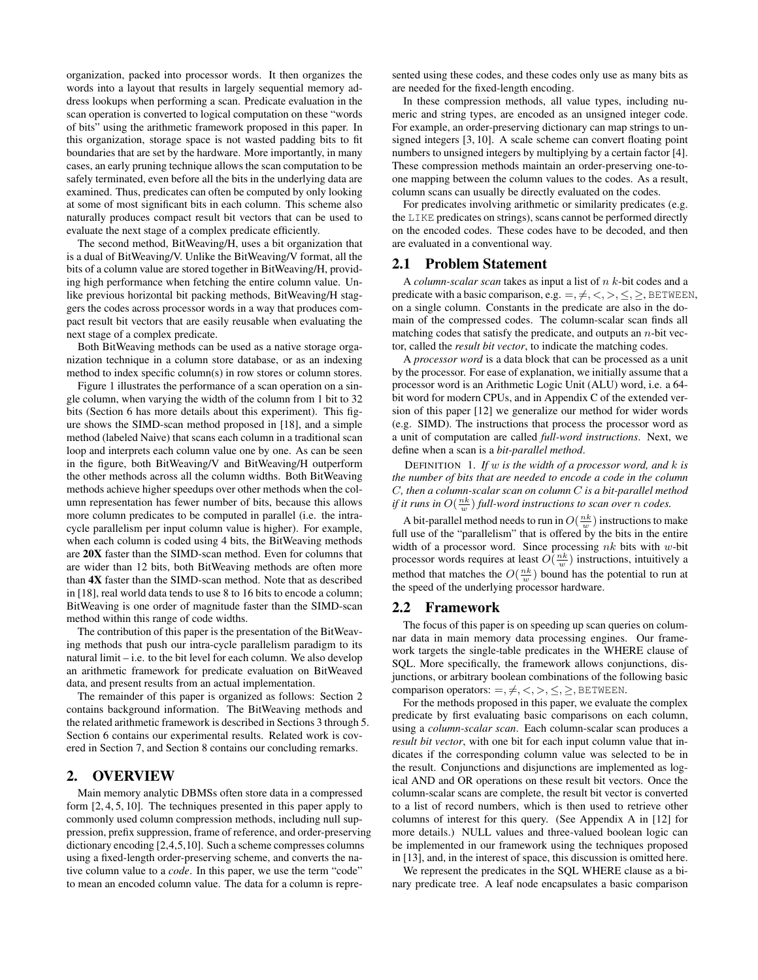organization, packed into processor words. It then organizes the words into a layout that results in largely sequential memory address lookups when performing a scan. Predicate evaluation in the scan operation is converted to logical computation on these "words of bits" using the arithmetic framework proposed in this paper. In this organization, storage space is not wasted padding bits to fit boundaries that are set by the hardware. More importantly, in many cases, an early pruning technique allows the scan computation to be safely terminated, even before all the bits in the underlying data are examined. Thus, predicates can often be computed by only looking at some of most significant bits in each column. This scheme also naturally produces compact result bit vectors that can be used to evaluate the next stage of a complex predicate efficiently.

The second method, BitWeaving/H, uses a bit organization that is a dual of BitWeaving/V. Unlike the BitWeaving/V format, all the bits of a column value are stored together in BitWeaving/H, providing high performance when fetching the entire column value. Unlike previous horizontal bit packing methods, BitWeaving/H staggers the codes across processor words in a way that produces compact result bit vectors that are easily reusable when evaluating the next stage of a complex predicate.

Both BitWeaving methods can be used as a native storage organization technique in a column store database, or as an indexing method to index specific column(s) in row stores or column stores.

Figure 1 illustrates the performance of a scan operation on a single column, when varying the width of the column from 1 bit to 32 bits (Section 6 has more details about this experiment). This figure shows the SIMD-scan method proposed in [18], and a simple method (labeled Naive) that scans each column in a traditional scan loop and interprets each column value one by one. As can be seen in the figure, both BitWeaving/V and BitWeaving/H outperform the other methods across all the column widths. Both BitWeaving methods achieve higher speedups over other methods when the column representation has fewer number of bits, because this allows more column predicates to be computed in parallel (i.e. the intracycle parallelism per input column value is higher). For example, when each column is coded using 4 bits, the BitWeaving methods are 20X faster than the SIMD-scan method. Even for columns that are wider than 12 bits, both BitWeaving methods are often more than 4X faster than the SIMD-scan method. Note that as described in [18], real world data tends to use 8 to 16 bits to encode a column; BitWeaving is one order of magnitude faster than the SIMD-scan method within this range of code widths.

The contribution of this paper is the presentation of the BitWeaving methods that push our intra-cycle parallelism paradigm to its natural limit – i.e. to the bit level for each column. We also develop an arithmetic framework for predicate evaluation on BitWeaved data, and present results from an actual implementation.

The remainder of this paper is organized as follows: Section 2 contains background information. The BitWeaving methods and the related arithmetic framework is described in Sections 3 through 5. Section 6 contains our experimental results. Related work is covered in Section 7, and Section 8 contains our concluding remarks.

# 2. OVERVIEW

Main memory analytic DBMSs often store data in a compressed form [2, 4, 5, 10]. The techniques presented in this paper apply to commonly used column compression methods, including null suppression, prefix suppression, frame of reference, and order-preserving dictionary encoding [2,4,5,10]. Such a scheme compresses columns using a fixed-length order-preserving scheme, and converts the native column value to a *code*. In this paper, we use the term "code" to mean an encoded column value. The data for a column is represented using these codes, and these codes only use as many bits as are needed for the fixed-length encoding.

In these compression methods, all value types, including numeric and string types, are encoded as an unsigned integer code. For example, an order-preserving dictionary can map strings to unsigned integers [3, 10]. A scale scheme can convert floating point numbers to unsigned integers by multiplying by a certain factor [4]. These compression methods maintain an order-preserving one-toone mapping between the column values to the codes. As a result, column scans can usually be directly evaluated on the codes.

For predicates involving arithmetic or similarity predicates (e.g. the LIKE predicates on strings), scans cannot be performed directly on the encoded codes. These codes have to be decoded, and then are evaluated in a conventional way.

# 2.1 Problem Statement

A *column-scalar scan* takes as input a list of n k-bit codes and a predicate with a basic comparison, e.g.  $=, \neq, \lt,, \gt, \lt, \gt,$ , BETWEEN, on a single column. Constants in the predicate are also in the domain of the compressed codes. The column-scalar scan finds all matching codes that satisfy the predicate, and outputs an  $n$ -bit vector, called the *result bit vector*, to indicate the matching codes.

A *processor word* is a data block that can be processed as a unit by the processor. For ease of explanation, we initially assume that a processor word is an Arithmetic Logic Unit (ALU) word, i.e. a 64 bit word for modern CPUs, and in Appendix C of the extended version of this paper [12] we generalize our method for wider words (e.g. SIMD). The instructions that process the processor word as a unit of computation are called *full-word instructions*. Next, we define when a scan is a *bit-parallel method*.

DEFINITION 1. *If* w *is the width of a processor word, and* k *is the number of bits that are needed to encode a code in the column* C*, then a column-scalar scan on column* C *is a bit-parallel method if it runs in*  $O(\frac{nk}{w})$  *full-word instructions to scan over n codes.* 

A bit-parallel method needs to run in  $O(\frac{nk}{w})$  instructions to make full use of the "parallelism" that is offered by the bits in the entire width of a processor word. Since processing  $nk$  bits with w-bit processor words requires at least  $O(\frac{nk}{w})$  instructions, intuitively a method that matches the  $O(\frac{nk}{w})$  bound has the potential to run at the speed of the underlying processor hardware.

#### 2.2 Framework

The focus of this paper is on speeding up scan queries on columnar data in main memory data processing engines. Our framework targets the single-table predicates in the WHERE clause of SQL. More specifically, the framework allows conjunctions, disjunctions, or arbitrary boolean combinations of the following basic comparison operators:  $=, \neq, \lt,, >, \leq, \geq,$  BETWEEN.

For the methods proposed in this paper, we evaluate the complex predicate by first evaluating basic comparisons on each column, using a *column-scalar scan*. Each column-scalar scan produces a *result bit vector*, with one bit for each input column value that indicates if the corresponding column value was selected to be in the result. Conjunctions and disjunctions are implemented as logical AND and OR operations on these result bit vectors. Once the column-scalar scans are complete, the result bit vector is converted to a list of record numbers, which is then used to retrieve other columns of interest for this query. (See Appendix A in [12] for more details.) NULL values and three-valued boolean logic can be implemented in our framework using the techniques proposed in [13], and, in the interest of space, this discussion is omitted here.

We represent the predicates in the SQL WHERE clause as a binary predicate tree. A leaf node encapsulates a basic comparison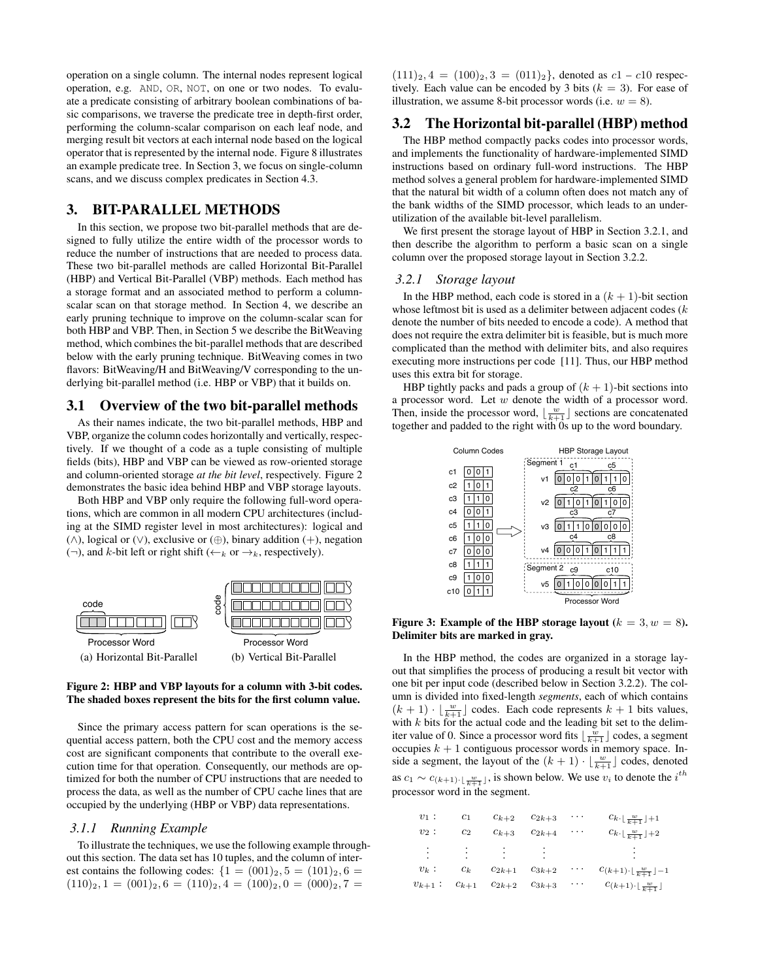operation on a single column. The internal nodes represent logical operation, e.g. AND, OR, NOT, on one or two nodes. To evaluate a predicate consisting of arbitrary boolean combinations of basic comparisons, we traverse the predicate tree in depth-first order, performing the column-scalar comparison on each leaf node, and merging result bit vectors at each internal node based on the logical operator that is represented by the internal node. Figure 8 illustrates an example predicate tree. In Section 3, we focus on single-column scans, and we discuss complex predicates in Section 4.3.

# 3. BIT-PARALLEL METHODS

In this section, we propose two bit-parallel methods that are designed to fully utilize the entire width of the processor words to reduce the number of instructions that are needed to process data. These two bit-parallel methods are called Horizontal Bit-Parallel (HBP) and Vertical Bit-Parallel (VBP) methods. Each method has a storage format and an associated method to perform a columnscalar scan on that storage method. In Section 4, we describe an early pruning technique to improve on the column-scalar scan for both HBP and VBP. Then, in Section 5 we describe the BitWeaving method, which combines the bit-parallel methods that are described below with the early pruning technique. BitWeaving comes in two flavors: BitWeaving/H and BitWeaving/V corresponding to the underlying bit-parallel method (i.e. HBP or VBP) that it builds on.

#### 3.1 Overview of the two bit-parallel methods

As their names indicate, the two bit-parallel methods, HBP and VBP, organize the column codes horizontally and vertically, respectively. If we thought of a code as a tuple consisting of multiple fields (bits), HBP and VBP can be viewed as row-oriented storage and column-oriented storage *at the bit level*, respectively. Figure 2 demonstrates the basic idea behind HBP and VBP storage layouts.

Both HBP and VBP only require the following full-word operations, which are common in all modern CPU architectures (including at the SIMD register level in most architectures): logical and (∧), logical or (∨), exclusive or (⊕), binary addition (+), negation  $(\neg)$ , and k-bit left or right shift  $(\leftarrow_k$  or  $\rightarrow_k$ , respectively).



## Figure 2: HBP and VBP layouts for a column with 3-bit codes. The shaded boxes represent the bits for the first column value.

Since the primary access pattern for scan operations is the sequential access pattern, both the CPU cost and the memory access cost are significant components that contribute to the overall execution time for that operation. Consequently, our methods are optimized for both the number of CPU instructions that are needed to process the data, as well as the number of CPU cache lines that are occupied by the underlying (HBP or VBP) data representations.

## *3.1.1 Running Example*

To illustrate the techniques, we use the following example throughout this section. The data set has 10 tuples, and the column of interest contains the following codes:  $\{1 = (001)_2, 5 = (101)_2, 6 =$  $(110)_2$ ,  $1 = (001)_2$ ,  $6 = (110)_2$ ,  $4 = (100)_2$ ,  $0 = (000)_2$ ,  $7 =$ 

 $(111)_2$ ,  $4 = (100)_2$ ,  $3 = (011)_2$ , denoted as  $c1 - c10$  respectively. Each value can be encoded by 3 bits  $(k = 3)$ . For ease of illustration, we assume 8-bit processor words (i.e.  $w = 8$ ).

## 3.2 The Horizontal bit-parallel (HBP) method

The HBP method compactly packs codes into processor words, and implements the functionality of hardware-implemented SIMD instructions based on ordinary full-word instructions. The HBP method solves a general problem for hardware-implemented SIMD that the natural bit width of a column often does not match any of the bank widths of the SIMD processor, which leads to an underutilization of the available bit-level parallelism.

We first present the storage layout of HBP in Section 3.2.1, and then describe the algorithm to perform a basic scan on a single column over the proposed storage layout in Section 3.2.2.

#### *3.2.1 Storage layout*

In the HBP method, each code is stored in a  $(k + 1)$ -bit section whose leftmost bit is used as a delimiter between adjacent codes (k) denote the number of bits needed to encode a code). A method that does not require the extra delimiter bit is feasible, but is much more complicated than the method with delimiter bits, and also requires executing more instructions per code [11]. Thus, our HBP method uses this extra bit for storage.

HBP tightly packs and pads a group of  $(k + 1)$ -bit sections into a processor word. Let  $w$  denote the width of a processor word. Then, inside the processor word,  $\lfloor \frac{w}{k+1} \rfloor$  sections are concatenated together and padded to the right with 0s up to the word boundary.



Figure 3: Example of the HBP storage layout ( $k = 3, w = 8$ ). Delimiter bits are marked in gray.

In the HBP method, the codes are organized in a storage layout that simplifies the process of producing a result bit vector with one bit per input code (described below in Section 3.2.2). The column is divided into fixed-length *segments*, each of which contains  $(k + 1) \cdot \lfloor \frac{w}{k+1} \rfloor$  codes. Each code represents  $k + 1$  bits values, with  $k$  bits for the actual code and the leading bit set to the delimiter value of 0. Since a processor word fits  $\lfloor \frac{w}{k+1} \rfloor$  codes, a segment occupies  $k + 1$  contiguous processor words in memory space. Inside a segment, the layout of the  $(k + 1) \cdot \lfloor \frac{w}{k+1} \rfloor$  codes, denoted as  $c_1 \sim c_{(k+1)\cdot \lfloor \frac{w}{k+1} \rfloor}$ , is shown below. We use  $v_i$  to denote the  $i^{th}$ processor word in the segment.

| $v_1$ :     | c <sub>1</sub> | $c_{k+2}$                                           | $c_{2k+3}$      | .        | $c_{k\cdot\lfloor\frac{w}{k+1}\rfloor+1}$          |
|-------------|----------------|-----------------------------------------------------|-----------------|----------|----------------------------------------------------|
| $v_2:$      | $c_2$          | $c_{k+3}$                                           | $c_{2k+4}$      | $\cdots$ | $c_{k\cdot\lfloor\frac{w}{k+1}\rfloor+2}$          |
| $\vdots$    | $\vdots$       | $\mathcal{L} = \frac{1}{2} \mathcal{L} \mathcal{L}$ | $\sim 10^{-11}$ |          |                                                    |
| $v_k$ :     | $c_k$          | $c_{2k+1}$                                          | $c_{3k+2}$      |          | $c_{(k+1)\cdot \lfloor \frac{w}{k+1} \rfloor - 1}$ |
| $v_{k+1}$ : | $c_{k+1}$      | $c_{2k+2}$                                          | $c_{3k+3}$      | $\cdots$ | $c_{(k+1)\cdot \lfloor \frac{w}{k+1} \rfloor}$     |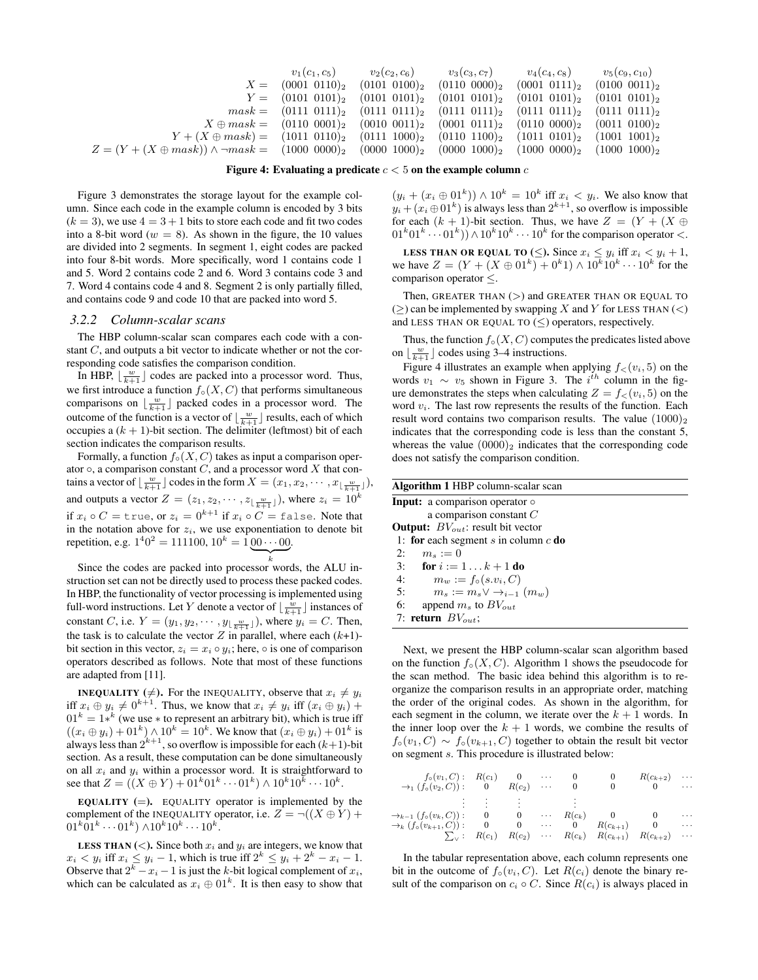$$
X = \begin{pmatrix} v_1(c_1, c_5) & v_2(c_2, c_6) & v_3(c_3, c_7) & v_4(c_4, c_8) & v_5(c_9, c_{10}) \\ 0001 & 0110)_2 & (0101 & 0100)_2 & (0110 & 0000)_2 & (0001 & 0111)_2 & (0100 & 0011)_2 \\ Y = \begin{pmatrix} 0101 & 01011_2 & (0101 & 0101)_2 & (0101 & 0101)_2 & (0101 & 0101)_2 \\ mask = \begin{pmatrix} 0111 & 0111_2 & (0111 & 0111)_2 & (0111 & 0111)_2 & (0111 & 0111)_2 \\ W \oplus mask = \begin{pmatrix} 0111 & 0111_2 & (0110 & 0011)_2 & (0001 & 0111)_2 & (0111 & 0111)_2 \\ 0110 & 0001_2 & (0010 & 0011)_2 & (0001 & 0111)_2 & (0110 & 0000)_2 & (0011 & 0100)_2 \end{pmatrix} \end{pmatrix}
$$

$$
X \oplus mask = \begin{pmatrix} 1011 & 0111_2 & (0111 & 1000)_2 & (0110 & 1100)_2 & (0110 & 1100)_2 \\ 0000 & 1000_2 & (0000 & 1000)_2 & (0000 & 1000)_2 & (1000 & 0000)_2 & (1000 & 1000)_2 \end{pmatrix}
$$

Figure 4: Evaluating a predicate  $c < 5$  on the example column c

Figure 3 demonstrates the storage layout for the example column. Since each code in the example column is encoded by 3 bits  $(k = 3)$ , we use  $4 = 3 + 1$  bits to store each code and fit two codes into a 8-bit word ( $w = 8$ ). As shown in the figure, the 10 values are divided into 2 segments. In segment 1, eight codes are packed into four 8-bit words. More specifically, word 1 contains code 1 and 5. Word 2 contains code 2 and 6. Word 3 contains code 3 and 7. Word 4 contains code 4 and 8. Segment 2 is only partially filled, and contains code 9 and code 10 that are packed into word 5.

## *3.2.2 Column-scalar scans*

The HBP column-scalar scan compares each code with a constant C, and outputs a bit vector to indicate whether or not the corresponding code satisfies the comparison condition.

In HBP,  $\lfloor \frac{w}{k+1} \rfloor$  codes are packed into a processor word. Thus, we first introduce a function  $f \circ (X, C)$  that performs simultaneous comparisons on  $\lfloor \frac{w}{k+1} \rfloor$  packed codes in a processor word. The outcome of the function is a vector of  $\lfloor \frac{w}{k+1} \rfloor$  results, each of which occupies a  $(k + 1)$ -bit section. The delimiter (leftmost) bit of each section indicates the comparison results.

Formally, a function  $f \circ (X, C)$  takes as input a comparison operator  $\circ$ , a comparison constant  $C$ , and a processor word  $X$  that contains a vector of  $\lfloor \frac{w}{k+1} \rfloor$  codes in the form  $X = (x_1, x_2, \dots, x_{\lfloor \frac{w}{k+1} \rfloor}),$ and outputs a vector  $Z = (z_1, z_2, \dots, z_{\lfloor \frac{w}{k+1} \rfloor})$ , where  $z_i = 10^k$ if  $x_i \circ C = \text{true}$ , or  $z_i = 0^{k+1}$  if  $x_i \circ C = \text{false}$ . Note that in the notation above for  $z_i$ , we use exponentiation to denote bit repetition, e.g.  $1^40^2 = 111100$ ,  $10^k = 100 \cdots 00$ .  $\sum_{k}$ 

Since the codes are packed into processor words, the ALU instruction set can not be directly used to process these packed codes. In HBP, the functionality of vector processing is implemented using full-word instructions. Let Y denote a vector of  $\lfloor \frac{w}{k+1} \rfloor$  instances of constant C, i.e.  $Y = (y_1, y_2, \dots, y_{\lfloor \frac{w}{k+1} \rfloor})$ , where  $y_i = C$ . Then, the task is to calculate the vector Z in parallel, where each  $(k+1)$ bit section in this vector,  $z_i = x_i \circ y_i$ ; here,  $\circ$  is one of comparison operators described as follows. Note that most of these functions are adapted from [11].

**INEQUALITY** ( $\neq$ ). For the INEQUALITY, observe that  $x_i \neq y_i$ iff  $x_i \oplus y_i \neq 0^{k+1}$ . Thus, we know that  $x_i \neq y_i$  iff  $(x_i \oplus y_i)$  +  $01<sup>k</sup> = 1<sup>k</sup>$  (we use  $*$  to represent an arbitrary bit), which is true iff  $((x_i \oplus y_i) + 01^k) \wedge 10^k = 10^k$ . We know that  $(x_i \oplus y_i) + 01^k$  is always less than  $2^{k+1}$ , so overflow is impossible for each  $(k+1)$ -bit section. As a result, these computation can be done simultaneously on all  $x_i$  and  $y_i$  within a processor word. It is straightforward to see that  $Z = ((X \oplus Y) + 01^k 01^k \cdots 01^k) \wedge 10^k 10^k \cdots 10^k$ .

EQUALITY  $(=)$ . EQUALITY operator is implemented by the complement of the INEQUALITY operator, i.e.  $Z = \neg((X \oplus Y) + \neg (X \oplus Y))$  $01^k \overline{0}1^k \cdots 01^k) \wedge 10^k 10^k \cdots 10^k.$ 

**LESS THAN** (<). Since both  $x_i$  and  $y_i$  are integers, we know that  $x_i < y_i$  iff  $x_i \le y_i - 1$ , which is true iff  $2^k \le y_i + 2^k - x_i - 1$ . Observe that  $2^k - x_i - 1$  is just the k-bit logical complement of  $x_i$ , which can be calculated as  $x_i \oplus 01^k$ . It is then easy to show that

 $(y_i + (x_i \oplus 01^k)) \wedge 10^k = 10^k$  iff  $x_i < y_i$ . We also know that  $y_i + (x_i \oplus 01^k)$  is always less than  $2^{k+1}$ , so overflow is impossible for each  $(k + 1)$ -bit section. Thus, we have  $Z = (Y + (X \oplus$  $01^k 01^k \cdots 01^k)$   $\wedge 10^k 10^k \cdots 10^k$  for the comparison operator <.

LESS THAN OR EQUAL TO  $(\le)$ . Since  $x_i \le y_i$  iff  $x_i < y_i + 1$ , we have  $Z = (Y + (X \oplus 01^k) + 0^k 1) \wedge 10^k 10^k \cdots 10^k$  for the comparison operator ≤.

Then, GREATER THAN  $(>)$  and GREATER THAN OR EQUAL TO  $(\geq)$  can be implemented by swapping X and Y for LESS THAN  $(\leq)$ and LESS THAN OR EQUAL TO  $(\le)$  operators, respectively.

Thus, the function  $f \circ (X, C)$  computes the predicates listed above on  $\lfloor \frac{w}{k+1} \rfloor$  codes using 3–4 instructions.

Figure 4 illustrates an example when applying  $f_<(v_i, 5)$  on the words  $v_1 \sim v_5$  shown in Figure 3. The  $i^{th}$  column in the figure demonstrates the steps when calculating  $Z = f<sub>lt</sub>(v<sub>i</sub>, 5)$  on the word  $v_i$ . The last row represents the results of the function. Each result word contains two comparison results. The value  $(1000)_2$ indicates that the corresponding code is less than the constant 5, whereas the value  $(0000)_2$  indicates that the corresponding code does not satisfy the comparison condition.

| <b>Algorithm 1 HBP</b> column-scalar scan       |  |  |  |  |
|-------------------------------------------------|--|--|--|--|
| <b>Input:</b> a comparison operator $\circ$     |  |  |  |  |
| a comparison constant $C$                       |  |  |  |  |
| <b>Output:</b> $BV_{out}$ : result bit vector   |  |  |  |  |
| 1: for each segment s in column $c$ do          |  |  |  |  |
| 2:<br>$m_s := 0$                                |  |  |  |  |
| 3:<br><b>for</b> $i := 1k + 1$ <b>do</b>        |  |  |  |  |
| 4:<br>$m_w := f_{\circ}(s.v_i, C)$              |  |  |  |  |
| $m_s := m_s \vee \rightarrow_{i-1} (m_w)$<br>5: |  |  |  |  |
| 6:<br>append $m_s$ to $BV_{out}$                |  |  |  |  |
| 7: return $BV_{out}$ ;                          |  |  |  |  |

Next, we present the HBP column-scalar scan algorithm based on the function  $f\circ (X, C)$ . Algorithm 1 shows the pseudocode for the scan method. The basic idea behind this algorithm is to reorganize the comparison results in an appropriate order, matching the order of the original codes. As shown in the algorithm, for each segment in the column, we iterate over the  $k + 1$  words. In the inner loop over the  $k + 1$  words, we combine the results of  $f\circ(v_1, C) \sim f\circ(v_{k+1}, C)$  together to obtain the result bit vector on segment s. This procedure is illustrated below:

| $f_{\circ}(v_1, C): R(c_1) \qquad 0 \qquad \cdots$                  |          |                            | $\theta$ |                | $R(c_{k+2})$                                                                        | $\cdots$ |
|---------------------------------------------------------------------|----------|----------------------------|----------|----------------|-------------------------------------------------------------------------------------|----------|
| $\rightarrow_1$ $(f_\circ(v_2, C))$ : 0 $R(c_2)$                    |          |                            | $\Omega$ |                |                                                                                     | $\cdots$ |
|                                                                     |          |                            |          |                |                                                                                     |          |
| $\rightarrow_{k-1} (f_{\circ}(v_k, C))$ : 0 0 $\cdots$ $R(c_k)$ 0 0 |          |                            |          |                |                                                                                     | .        |
| $\rightarrow_k$ $(f_\circ(v_{k+1}, C))$ :                           | $\bf{0}$ | $0 \qquad \cdots \qquad 0$ |          | $R(c_{k+1})$ 0 |                                                                                     | $\cdots$ |
|                                                                     |          |                            |          |                | $\sum_{v}$ : $R(c_1)$ $R(c_2)$ $\cdots$ $R(c_k)$ $R(c_{k+1})$ $R(c_{k+2})$ $\cdots$ |          |

In the tabular representation above, each column represents one bit in the outcome of  $f\circ(v_i, C)$ . Let  $R(c_i)$  denote the binary result of the comparison on  $c_i \circ C$ . Since  $R(c_i)$  is always placed in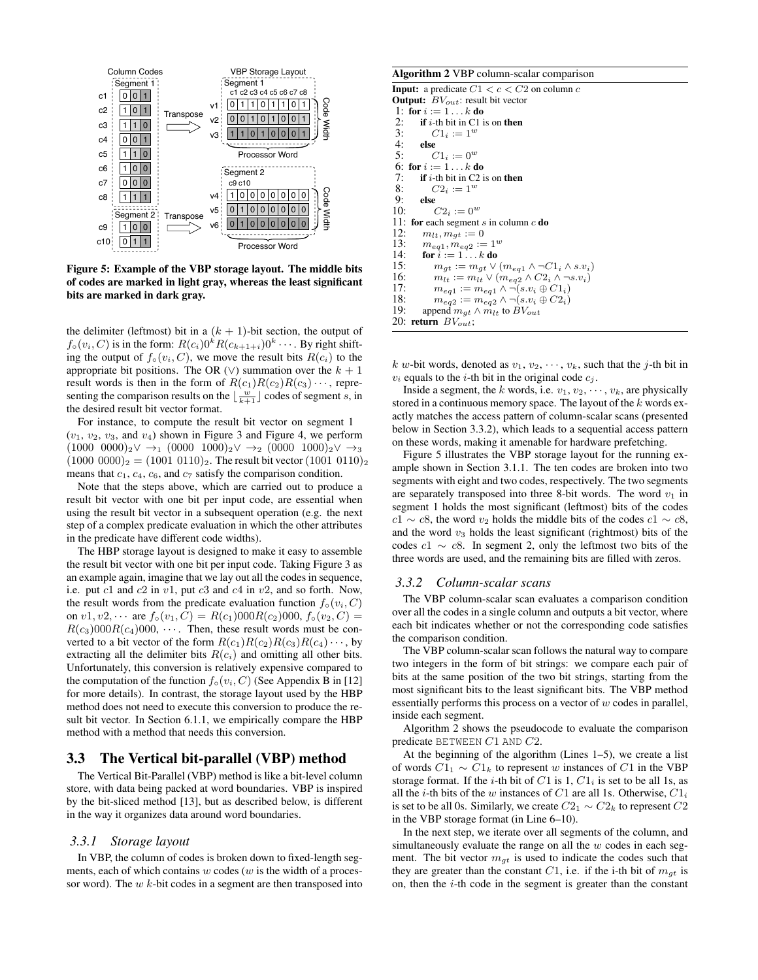

Figure 5: Example of the VBP storage layout. The middle bits of codes are marked in light gray, whereas the least significant bits are marked in dark gray.

the delimiter (leftmost) bit in a  $(k + 1)$ -bit section, the output of  $f \circ (v_i, C)$  is in the form:  $R(c_i) 0^k R(c_{k+1+i}) 0^k \cdots$ . By right shifting the output of  $f\circ(v_i, C)$ , we move the result bits  $R(c_i)$  to the appropriate bit positions. The OR ( $\vee$ ) summation over the  $k + 1$ result words is then in the form of  $R(c_1)R(c_2)R(c_3)\cdots$ , representing the comparison results on the  $\lfloor \frac{w}{k+1} \rfloor$  codes of segment s, in the desired result bit vector format.

For instance, to compute the result bit vector on segment 1  $(v_1, v_2, v_3,$  and  $v_4)$  shown in Figure 3 and Figure 4, we perform  $(1000 \t 0000)_2 \vee \rightarrow_1 (0000 \t 1000)_2 \vee \rightarrow_2 (0000 \t 1000)_2 \vee \rightarrow_3$  $(1000\ 0000)_2 = (1001\ 0110)_2$ . The result bit vector  $(1001\ 0110)_2$ means that  $c_1$ ,  $c_4$ ,  $c_6$ , and  $c_7$  satisfy the comparison condition.

Note that the steps above, which are carried out to produce a result bit vector with one bit per input code, are essential when using the result bit vector in a subsequent operation (e.g. the next step of a complex predicate evaluation in which the other attributes in the predicate have different code widths).

The HBP storage layout is designed to make it easy to assemble the result bit vector with one bit per input code. Taking Figure 3 as an example again, imagine that we lay out all the codes in sequence, i.e. put  $c1$  and  $c2$  in  $v1$ , put  $c3$  and  $c4$  in  $v2$ , and so forth. Now, the result words from the predicate evaluation function  $f_0(v_i, C)$ on  $v1, v2, \cdots$  are  $f_{\circ}(v_1, C) = R(c_1)000R(c_2)000, f_{\circ}(v_2, C) =$  $R(c_3)000R(c_4)000, \cdots$ . Then, these result words must be converted to a bit vector of the form  $R(c_1)R(c_2)R(c_3)R(c_4)\cdots$ , by extracting all the delimiter bits  $R(c_i)$  and omitting all other bits. Unfortunately, this conversion is relatively expensive compared to the computation of the function  $f_0(v_i, C)$  (See Appendix B in [12] for more details). In contrast, the storage layout used by the HBP method does not need to execute this conversion to produce the result bit vector. In Section 6.1.1, we empirically compare the HBP method with a method that needs this conversion.

# 3.3 The Vertical bit-parallel (VBP) method

The Vertical Bit-Parallel (VBP) method is like a bit-level column store, with data being packed at word boundaries. VBP is inspired by the bit-sliced method [13], but as described below, is different in the way it organizes data around word boundaries.

#### *3.3.1 Storage layout*

In VBP, the column of codes is broken down to fixed-length segments, each of which contains  $w$  codes ( $w$  is the width of a processor word). The  $w$  k-bit codes in a segment are then transposed into

#### Algorithm 2 VBP column-scalar comparison

**Input:** a predicate  $C1 < c < C2$  on column c **Output:**  $BV_{out}$ : result bit vector 1: for  $i := 1 \ldots k$  do<br>2. **if** *i*-th bit in C1 i 2: if *i*-th bit in C1 is on then<br>3:  $C1_i := 1^w$ 3:  $C1_i := 1^w$ <br>4: **else** 4: else<br>5:  $\left(\begin{array}{cc} 6 & 1 \end{array}\right)$  $C1_i := 0^w$ 6: for  $i := 1...k$  do<br>7: if *i*-th bit in C2 i 7: if *i*-th bit in C2 is on then<br>8:  $C2_i := 1^w$ 8:  $C2_i := 1^w$ <br>9: **else**  $9:$  else  $10:$  $C2_i := 0^w$ 11: for each segment s in column  $c$  do 12:  $m_{lt}, m_{gt} := 0$ <br>13:  $m_{eq1}, m_{eq2} :=$ 13:  $m_{eq1}, m_{eq2} := 1^w$ <br>14: **for**  $i := 1...k$  **do** for  $i := 1 \ldots k$  do 15:  $m_{gt} := m_{gt} \vee (m_{eq1} \wedge \neg C1_i \wedge s.v_i)$ <br>16:  $m_{lt} := m_{lt} \vee (m_{eq2} \wedge C2_i \wedge \neg s.v_i)$ 16:  $m_{lt} := m_{lt} \vee (m_{eq2} \wedge C2_i \wedge \neg s.v_i)$ <br>17:  $m_{eq1} := m_{eq1} \wedge \neg (s.v_i \oplus C1_i)$ 17:  $m_{eq1} := m_{eq1} \wedge \neg(s.v_i \oplus C1_i)$ <br>18:  $m_{eq2} := m_{eq2} \wedge \neg(s.v_i \oplus C2_i)$ 18:  $m_{eq2} := m_{eq2} \wedge \neg(s.v_i \oplus C2_i)$ <br>19: append  $m_{at} \wedge m_{lt}$  to  $BV_{out}$ append  $m_{gt} \wedge m_{lt}$  to  $BV_{out}$ 20: return  $BV_{out}$ ;

k w-bit words, denoted as  $v_1, v_2, \dots, v_k$ , such that the j-th bit in  $v_i$  equals to the *i*-th bit in the original code  $c_i$ .

Inside a segment, the k words, i.e.  $v_1, v_2, \dots, v_k$ , are physically stored in a continuous memory space. The layout of the  $k$  words exactly matches the access pattern of column-scalar scans (presented below in Section 3.3.2), which leads to a sequential access pattern on these words, making it amenable for hardware prefetching.

Figure 5 illustrates the VBP storage layout for the running example shown in Section 3.1.1. The ten codes are broken into two segments with eight and two codes, respectively. The two segments are separately transposed into three 8-bit words. The word  $v_1$  in segment 1 holds the most significant (leftmost) bits of the codes  $c1 \sim c8$ , the word  $v_2$  holds the middle bits of the codes  $c1 \sim c8$ . and the word  $v_3$  holds the least significant (rightmost) bits of the codes  $c1 \sim c8$ . In segment 2, only the leftmost two bits of the three words are used, and the remaining bits are filled with zeros.

#### *3.3.2 Column-scalar scans*

The VBP column-scalar scan evaluates a comparison condition over all the codes in a single column and outputs a bit vector, where each bit indicates whether or not the corresponding code satisfies the comparison condition.

The VBP column-scalar scan follows the natural way to compare two integers in the form of bit strings: we compare each pair of bits at the same position of the two bit strings, starting from the most significant bits to the least significant bits. The VBP method essentially performs this process on a vector of  $w$  codes in parallel, inside each segment.

Algorithm 2 shows the pseudocode to evaluate the comparison predicate BETWEEN C1 AND C2.

At the beginning of the algorithm (Lines 1–5), we create a list of words  $C1_1 \sim C1_k$  to represent w instances of C1 in the VBP storage format. If the *i*-th bit of  $C1$  is 1,  $C1<sub>i</sub>$  is set to be all 1s, as all the *i*-th bits of the w instances of C1 are all 1s. Otherwise,  $C1_i$ is set to be all 0s. Similarly, we create  $C_1 \sim C_2$  to represent  $C_2$ in the VBP storage format (in Line 6–10).

In the next step, we iterate over all segments of the column, and simultaneously evaluate the range on all the  $w$  codes in each segment. The bit vector  $m_{gt}$  is used to indicate the codes such that they are greater than the constant C1, i.e. if the i-th bit of  $m_{gt}$  is on, then the i-th code in the segment is greater than the constant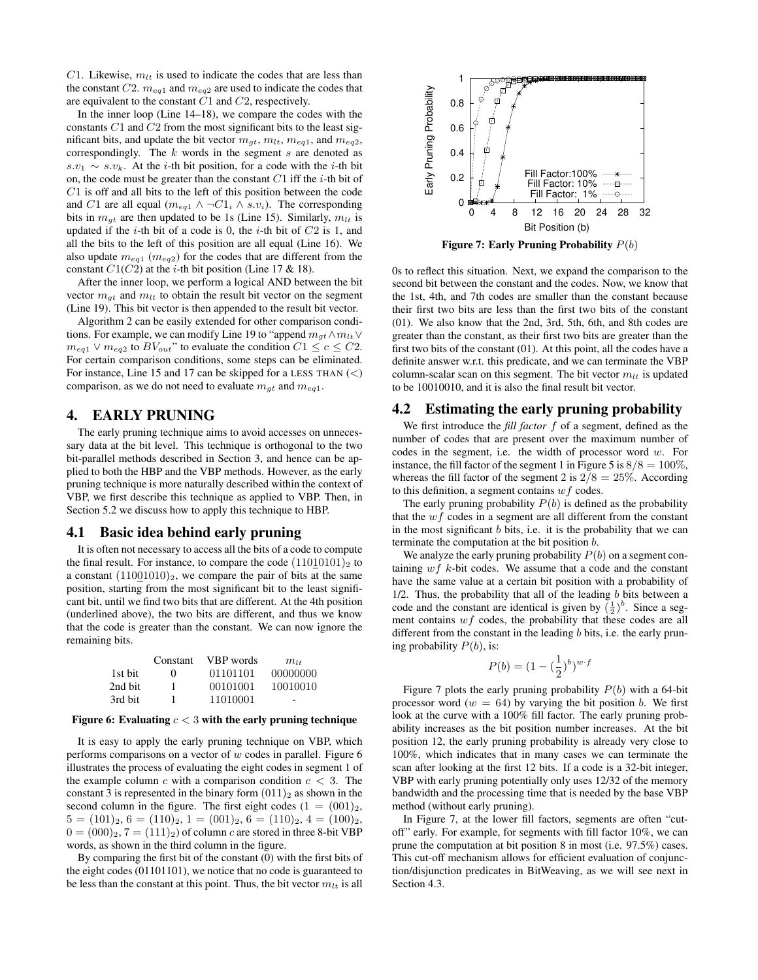C1. Likewise,  $m_{lt}$  is used to indicate the codes that are less than the constant C2.  $m_{eq1}$  and  $m_{eq2}$  are used to indicate the codes that are equivalent to the constant C1 and C2, respectively.

In the inner loop (Line 14–18), we compare the codes with the constants  $C1$  and  $C2$  from the most significant bits to the least significant bits, and update the bit vector  $m_{at}$ ,  $m_{lt}$ ,  $m_{eq1}$ , and  $m_{eq2}$ , correspondingly. The  $k$  words in the segment  $s$  are denoted as  $s.v_1 \sim s.v_k$ . At the *i*-th bit position, for a code with the *i*-th bit on, the code must be greater than the constant  $C1$  iff the *i*-th bit of C1 is off and all bits to the left of this position between the code and C1 are all equal ( $m_{eq1} \wedge \neg C1_i \wedge s.v_i$ ). The corresponding bits in  $m_{gt}$  are then updated to be 1s (Line 15). Similarly,  $m_{lt}$  is updated if the  $i$ -th bit of a code is 0, the  $i$ -th bit of  $C2$  is 1, and all the bits to the left of this position are all equal (Line 16). We also update  $m_{eq1}$  ( $m_{eq2}$ ) for the codes that are different from the constant  $C1(C2)$  at the *i*-th bit position (Line 17 & 18).

After the inner loop, we perform a logical AND between the bit vector  $m_{qt}$  and  $m_{lt}$  to obtain the result bit vector on the segment (Line 19). This bit vector is then appended to the result bit vector.

Algorithm 2 can be easily extended for other comparison conditions. For example, we can modify Line 19 to "append  $m_{qt} \wedge m_{lt} \vee$  $m_{eq1} \vee m_{eq2}$  to  $BV_{out}$ " to evaluate the condition  $C1 \leq c \leq C2$ . For certain comparison conditions, some steps can be eliminated. For instance, Line 15 and 17 can be skipped for a LESS THAN  $\left(\langle\right)$ comparison, as we do not need to evaluate  $m_{gt}$  and  $m_{eq1}$ .

# 4. EARLY PRUNING

The early pruning technique aims to avoid accesses on unnecessary data at the bit level. This technique is orthogonal to the two bit-parallel methods described in Section 3, and hence can be applied to both the HBP and the VBP methods. However, as the early pruning technique is more naturally described within the context of VBP, we first describe this technique as applied to VBP. Then, in Section 5.2 we discuss how to apply this technique to HBP.

#### 4.1 Basic idea behind early pruning

It is often not necessary to access all the bits of a code to compute the final result. For instance, to compare the code  $(11010101)_2$  to a constant  $(11001010)_2$ , we compare the pair of bits at the same position, starting from the most significant bit to the least significant bit, until we find two bits that are different. At the 4th position (underlined above), the two bits are different, and thus we know that the code is greater than the constant. We can now ignore the remaining bits.

|         | Constant     | VBP words | $m_{1+}$ |
|---------|--------------|-----------|----------|
| 1st bit | $\mathbf{0}$ | 01101101  | 00000000 |
| 2nd bit | ı            | 00101001  | 10010010 |
| 3rd bit |              | 11010001  |          |

#### Figure 6: Evaluating  $c < 3$  with the early pruning technique

It is easy to apply the early pruning technique on VBP, which performs comparisons on a vector of  $w$  codes in parallel. Figure 6 illustrates the process of evaluating the eight codes in segment 1 of the example column c with a comparison condition  $c < 3$ . The constant 3 is represented in the binary form  $(011)_2$  as shown in the second column in the figure. The first eight codes  $(1 = (001)<sub>2</sub>$ ,  $5 = (101)_2, 6 = (110)_2, 1 = (001)_2, 6 = (110)_2, 4 = (100)_2,$  $0 = (000)_2$ ,  $7 = (111)_2$  of column c are stored in three 8-bit VBP words, as shown in the third column in the figure.

By comparing the first bit of the constant (0) with the first bits of the eight codes (01101101), we notice that no code is guaranteed to be less than the constant at this point. Thus, the bit vector  $m_{lt}$  is all



0s to reflect this situation. Next, we expand the comparison to the second bit between the constant and the codes. Now, we know that the 1st, 4th, and 7th codes are smaller than the constant because their first two bits are less than the first two bits of the constant (01). We also know that the 2nd, 3rd, 5th, 6th, and 8th codes are greater than the constant, as their first two bits are greater than the first two bits of the constant (01). At this point, all the codes have a definite answer w.r.t. this predicate, and we can terminate the VBP column-scalar scan on this segment. The bit vector  $m_{lt}$  is updated to be 10010010, and it is also the final result bit vector.

### 4.2 Estimating the early pruning probability

We first introduce the *fill factor* f of a segment, defined as the number of codes that are present over the maximum number of codes in the segment, i.e. the width of processor word  $w$ . For instance, the fill factor of the segment 1 in Figure 5 is  $8/8 = 100\%$ , whereas the fill factor of the segment 2 is  $2/8 = 25\%$ . According to this definition, a segment contains  $wf$  codes.

The early pruning probability  $P(b)$  is defined as the probability that the  $wf$  codes in a segment are all different from the constant in the most significant  $b$  bits, i.e. it is the probability that we can terminate the computation at the bit position b.

We analyze the early pruning probability  $P(b)$  on a segment containing  $wf$  k-bit codes. We assume that a code and the constant have the same value at a certain bit position with a probability of  $1/2$ . Thus, the probability that all of the leading b bits between a code and the constant are identical is given by  $(\frac{1}{2})^b$ . Since a segment contains  $wf$  codes, the probability that these codes are all different from the constant in the leading b bits, i.e. the early pruning probability  $P(b)$ , is:

$$
P(b) = (1 - (\frac{1}{2})^b)^{w \cdot f}
$$

Figure 7 plots the early pruning probability  $P(b)$  with a 64-bit processor word ( $w = 64$ ) by varying the bit position b. We first look at the curve with a 100% fill factor. The early pruning probability increases as the bit position number increases. At the bit position 12, the early pruning probability is already very close to 100%, which indicates that in many cases we can terminate the scan after looking at the first 12 bits. If a code is a 32-bit integer, VBP with early pruning potentially only uses 12/32 of the memory bandwidth and the processing time that is needed by the base VBP method (without early pruning).

In Figure 7, at the lower fill factors, segments are often "cutoff" early. For example, for segments with fill factor 10%, we can prune the computation at bit position 8 in most (i.e. 97.5%) cases. This cut-off mechanism allows for efficient evaluation of conjunction/disjunction predicates in BitWeaving, as we will see next in Section 4.3.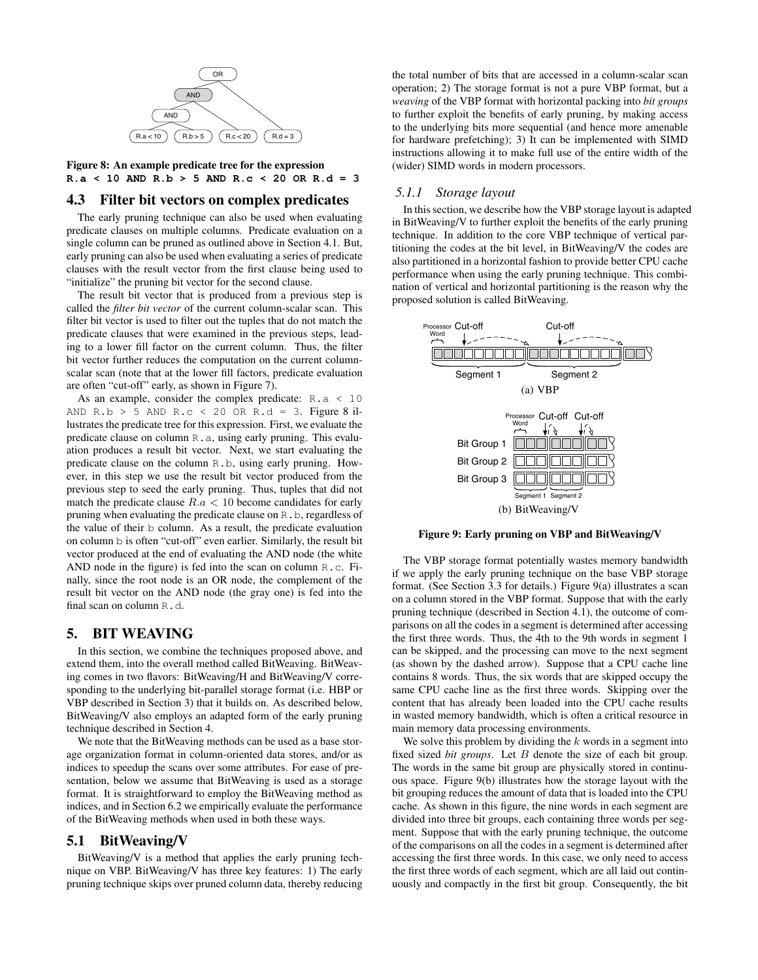

Figure 8: An example predicate tree for the expression **R.a < 10 AND R.b > 5 AND R.c < 20 OR R.d = 3**

## 4.3 Filter bit vectors on complex predicates

The early pruning technique can also be used when evaluating predicate clauses on multiple columns. Predicate evaluation on a single column can be pruned as outlined above in Section 4.1. But, early pruning can also be used when evaluating a series of predicate clauses with the result vector from the first clause being used to "initialize" the pruning bit vector for the second clause.

The result bit vector that is produced from a previous step is called the *filter bit vector* of the current column-scalar scan. This filter bit vector is used to filter out the tuples that do not match the predicate clauses that were examined in the previous steps, leading to a lower fill factor on the current column. Thus, the filter bit vector further reduces the computation on the current columnscalar scan (note that at the lower fill factors, predicate evaluation are often "cut-off" early, as shown in Figure 7).

As an example, consider the complex predicate:  $R$ ,  $a \leq 10$ AND R.b > 5 AND R.c < 20 OR R.d = 3. Figure 8 illustrates the predicate tree for this expression. First, we evaluate the predicate clause on column  $R$ , a, using early pruning. This evaluation produces a result bit vector. Next, we start evaluating the predicate clause on the column R.b, using early pruning. However, in this step we use the result bit vector produced from the previous step to seed the early pruning. Thus, tuples that did not match the predicate clause  $R.a < 10$  become candidates for early pruning when evaluating the predicate clause on R.b, regardless of the value of their b column. As a result, the predicate evaluation on column b is often "cut-off" even earlier. Similarly, the result bit vector produced at the end of evaluating the AND node (the white AND node in the figure) is fed into the scan on column R.c. Finally, since the root node is an OR node, the complement of the result bit vector on the AND node (the gray one) is fed into the final scan on column R.d.

## 5. BIT WEAVING

In this section, we combine the techniques proposed above, and extend them, into the overall method called BitWeaving. BitWeaving comes in two flavors: BitWeaving/H and BitWeaving/V corresponding to the underlying bit-parallel storage format (i.e. HBP or VBP described in Section 3) that it builds on. As described below, BitWeaving/V also employs an adapted form of the early pruning technique described in Section 4.

We note that the BitWeaving methods can be used as a base storage organization format in column-oriented data stores, and/or as indices to speedup the scans over some attributes. For ease of presentation, below we assume that BitWeaving is used as a storage format. It is straightforward to employ the BitWeaving method as indices, and in Section 6.2 we empirically evaluate the performance of the BitWeaving methods when used in both these ways.

# 5.1 BitWeaving/V

BitWeaving/V is a method that applies the early pruning technique on VBP. BitWeaving/V has three key features: 1) The early pruning technique skips over pruned column data, thereby reducing the total number of bits that are accessed in a column-scalar scan operation; 2) The storage format is not a pure VBP format, but a *weaving* of the VBP format with horizontal packing into *bit groups* to further exploit the benefits of early pruning, by making access to the underlying bits more sequential (and hence more amenable for hardware prefetching); 3) It can be implemented with SIMD instructions allowing it to make full use of the entire width of the (wider) SIMD words in modern processors.

## *5.1.1 Storage layout*

In this section, we describe how the VBP storage layout is adapted in BitWeaving/V to further exploit the benefits of the early pruning technique. In addition to the core VBP technique of vertical partitioning the codes at the bit level, in BitWeaving/V the codes are also partitioned in a horizontal fashion to provide better CPU cache performance when using the early pruning technique. This combination of vertical and horizontal partitioning is the reason why the proposed solution is called BitWeaving.



Figure 9: Early pruning on VBP and BitWeaving/V

The VBP storage format potentially wastes memory bandwidth if we apply the early pruning technique on the base VBP storage format. (See Section 3.3 for details.) Figure 9(a) illustrates a scan on a column stored in the VBP format. Suppose that with the early pruning technique (described in Section 4.1), the outcome of comparisons on all the codes in a segment is determined after accessing the first three words. Thus, the 4th to the 9th words in segment 1 can be skipped, and the processing can move to the next segment (as shown by the dashed arrow). Suppose that a CPU cache line contains 8 words. Thus, the six words that are skipped occupy the same CPU cache line as the first three words. Skipping over the content that has already been loaded into the CPU cache results in wasted memory bandwidth, which is often a critical resource in main memory data processing environments.

We solve this problem by dividing the  $k$  words in a segment into fixed sized *bit groups*. Let B denote the size of each bit group. The words in the same bit group are physically stored in continuous space. Figure 9(b) illustrates how the storage layout with the bit grouping reduces the amount of data that is loaded into the CPU cache. As shown in this figure, the nine words in each segment are divided into three bit groups, each containing three words per segment. Suppose that with the early pruning technique, the outcome of the comparisons on all the codes in a segment is determined after accessing the first three words. In this case, we only need to access the first three words of each segment, which are all laid out continuously and compactly in the first bit group. Consequently, the bit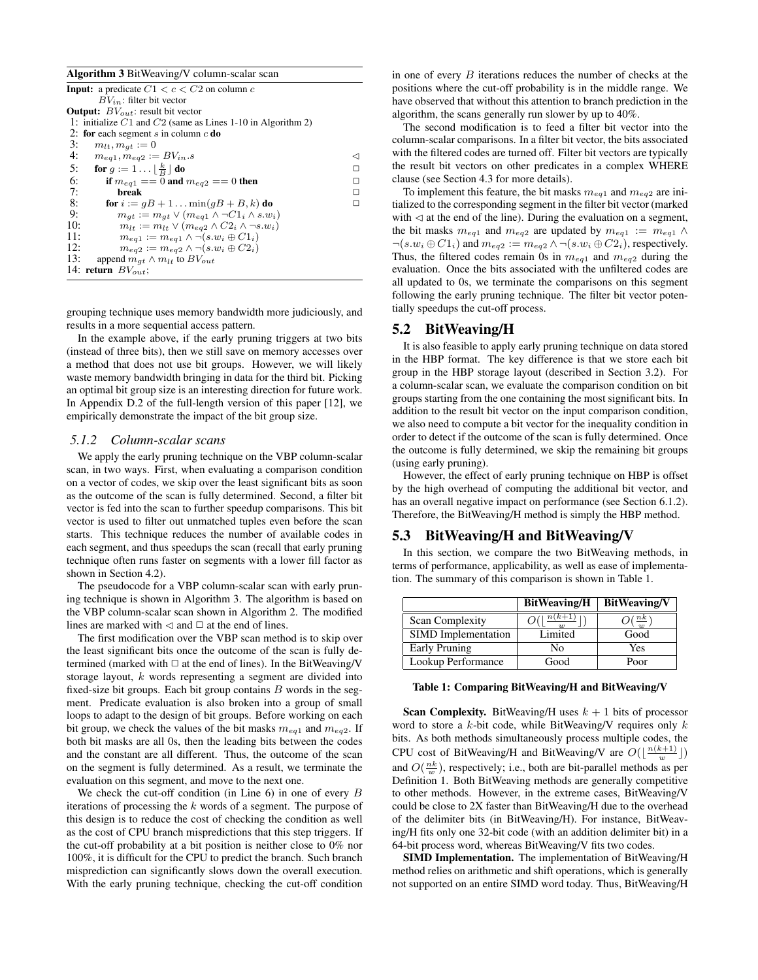#### Algorithm 3 BitWeaving/V column-scalar scan

| <b>Input:</b> a predicate $C1 < c < C2$ on column c                    |   |
|------------------------------------------------------------------------|---|
| $BV_{in}$ : filter bit vector                                          |   |
| <b>Output:</b> $BV_{out}$ : result bit vector                          |   |
| 1: initialize $C1$ and $C2$ (same as Lines 1-10 in Algorithm 2)        |   |
| 2: for each segment s in column $c$ do                                 |   |
| 3:<br>$m_{lt}, m_{at} := 0$                                            |   |
| 4:<br>$m_{eq1}, m_{eq2} := BV_{in}.s$                                  |   |
| for $g := 1 \dots \lfloor \frac{k}{B} \rfloor$ do<br>5:                | п |
| 6:<br>if $m_{ea1} = 0$ and $m_{ea2} = 0$ then                          | п |
| 7:<br>break                                                            | п |
| 8:<br>for $i := qB + 1$ $\min(qB + B, k)$ do                           | □ |
| 9:<br>$m_{at} := m_{at} \vee (m_{ea1} \wedge \neg C1_i \wedge s.w_i)$  |   |
| 10:<br>$m_{lt} := m_{lt} \vee (m_{eq2} \wedge C2_i \wedge \neg s.w_i)$ |   |
| 11:<br>$m_{eq1} := m_{eq1} \wedge \neg (s.w_i \oplus C1_i)$            |   |
| 12:<br>$m_{eq2} := m_{eq2} \wedge \neg (s.w_i \oplus C2_i)$            |   |
| 13:<br>append $m_{at} \wedge m_{lt}$ to $BV_{out}$                     |   |
| 14: return $BV_{out}$ ;                                                |   |
|                                                                        |   |

grouping technique uses memory bandwidth more judiciously, and results in a more sequential access pattern.

In the example above, if the early pruning triggers at two bits (instead of three bits), then we still save on memory accesses over a method that does not use bit groups. However, we will likely waste memory bandwidth bringing in data for the third bit. Picking an optimal bit group size is an interesting direction for future work. In Appendix D.2 of the full-length version of this paper [12], we empirically demonstrate the impact of the bit group size.

#### *5.1.2 Column-scalar scans*

We apply the early pruning technique on the VBP column-scalar scan, in two ways. First, when evaluating a comparison condition on a vector of codes, we skip over the least significant bits as soon as the outcome of the scan is fully determined. Second, a filter bit vector is fed into the scan to further speedup comparisons. This bit vector is used to filter out unmatched tuples even before the scan starts. This technique reduces the number of available codes in each segment, and thus speedups the scan (recall that early pruning technique often runs faster on segments with a lower fill factor as shown in Section 4.2).

The pseudocode for a VBP column-scalar scan with early pruning technique is shown in Algorithm 3. The algorithm is based on the VBP column-scalar scan shown in Algorithm 2. The modified lines are marked with  $\triangleleft$  and  $\square$  at the end of lines.

The first modification over the VBP scan method is to skip over the least significant bits once the outcome of the scan is fully determined (marked with  $\Box$  at the end of lines). In the BitWeaving/V storage layout, k words representing a segment are divided into fixed-size bit groups. Each bit group contains  $B$  words in the segment. Predicate evaluation is also broken into a group of small loops to adapt to the design of bit groups. Before working on each bit group, we check the values of the bit masks  $m_{eq1}$  and  $m_{eq2}$ . If both bit masks are all 0s, then the leading bits between the codes and the constant are all different. Thus, the outcome of the scan on the segment is fully determined. As a result, we terminate the evaluation on this segment, and move to the next one.

We check the cut-off condition (in Line  $6$ ) in one of every  $B$ iterations of processing the k words of a segment. The purpose of this design is to reduce the cost of checking the condition as well as the cost of CPU branch mispredictions that this step triggers. If the cut-off probability at a bit position is neither close to 0% nor 100%, it is difficult for the CPU to predict the branch. Such branch misprediction can significantly slows down the overall execution. With the early pruning technique, checking the cut-off condition

in one of every  $B$  iterations reduces the number of checks at the positions where the cut-off probability is in the middle range. We have observed that without this attention to branch prediction in the algorithm, the scans generally run slower by up to 40%.

The second modification is to feed a filter bit vector into the column-scalar comparisons. In a filter bit vector, the bits associated with the filtered codes are turned off. Filter bit vectors are typically the result bit vectors on other predicates in a complex WHERE clause (see Section 4.3 for more details).

To implement this feature, the bit masks  $m_{eq1}$  and  $m_{eq2}$  are initialized to the corresponding segment in the filter bit vector (marked with  $\triangleleft$  at the end of the line). During the evaluation on a segment, the bit masks  $m_{eq1}$  and  $m_{eq2}$  are updated by  $m_{eq1} := m_{eq1} \wedge$  $\neg(s.w_i \oplus C1_i)$  and  $m_{eq2} := m_{eq2} \land \neg(s.w_i \oplus C2_i)$ , respectively. Thus, the filtered codes remain 0s in  $m_{eq1}$  and  $m_{eq2}$  during the evaluation. Once the bits associated with the unfiltered codes are all updated to 0s, we terminate the comparisons on this segment following the early pruning technique. The filter bit vector potentially speedups the cut-off process.

# 5.2 BitWeaving/H

It is also feasible to apply early pruning technique on data stored in the HBP format. The key difference is that we store each bit group in the HBP storage layout (described in Section 3.2). For a column-scalar scan, we evaluate the comparison condition on bit groups starting from the one containing the most significant bits. In addition to the result bit vector on the input comparison condition, we also need to compute a bit vector for the inequality condition in order to detect if the outcome of the scan is fully determined. Once the outcome is fully determined, we skip the remaining bit groups (using early pruning).

However, the effect of early pruning technique on HBP is offset by the high overhead of computing the additional bit vector, and has an overall negative impact on performance (see Section 6.1.2). Therefore, the BitWeaving/H method is simply the HBP method.

#### 5.3 BitWeaving/H and BitWeaving/V

In this section, we compare the two BitWeaving methods, in terms of performance, applicability, as well as ease of implementation. The summary of this comparison is shown in Table 1.

|                            | <b>BitWeaving/H</b> | <b>BitWeaving/V</b> |  |
|----------------------------|---------------------|---------------------|--|
| <b>Scan Complexity</b>     | $(k+1)$             | n k                 |  |
| <b>SIMD</b> Implementation | Limited             | Good                |  |
| Early Pruning              | No                  | Yes                 |  |
| Lookup Performance         | Good                | Poor                |  |

#### Table 1: Comparing BitWeaving/H and BitWeaving/V

**Scan Complexity.** BitWeaving/H uses  $k + 1$  bits of processor word to store a  $k$ -bit code, while BitWeaving/V requires only  $k$ bits. As both methods simultaneously process multiple codes, the CPU cost of BitWeaving/H and BitWeaving/V are  $O(\lfloor \frac{n(k+1)}{w} \rfloor)$ and  $O(\frac{nk}{w})$ , respectively; i.e., both are bit-parallel methods as per Definition 1. Both BitWeaving methods are generally competitive to other methods. However, in the extreme cases, BitWeaving/V could be close to 2X faster than BitWeaving/H due to the overhead of the delimiter bits (in BitWeaving/H). For instance, BitWeaving/H fits only one 32-bit code (with an addition delimiter bit) in a 64-bit process word, whereas BitWeaving/V fits two codes.

SIMD Implementation. The implementation of BitWeaving/H method relies on arithmetic and shift operations, which is generally not supported on an entire SIMD word today. Thus, BitWeaving/H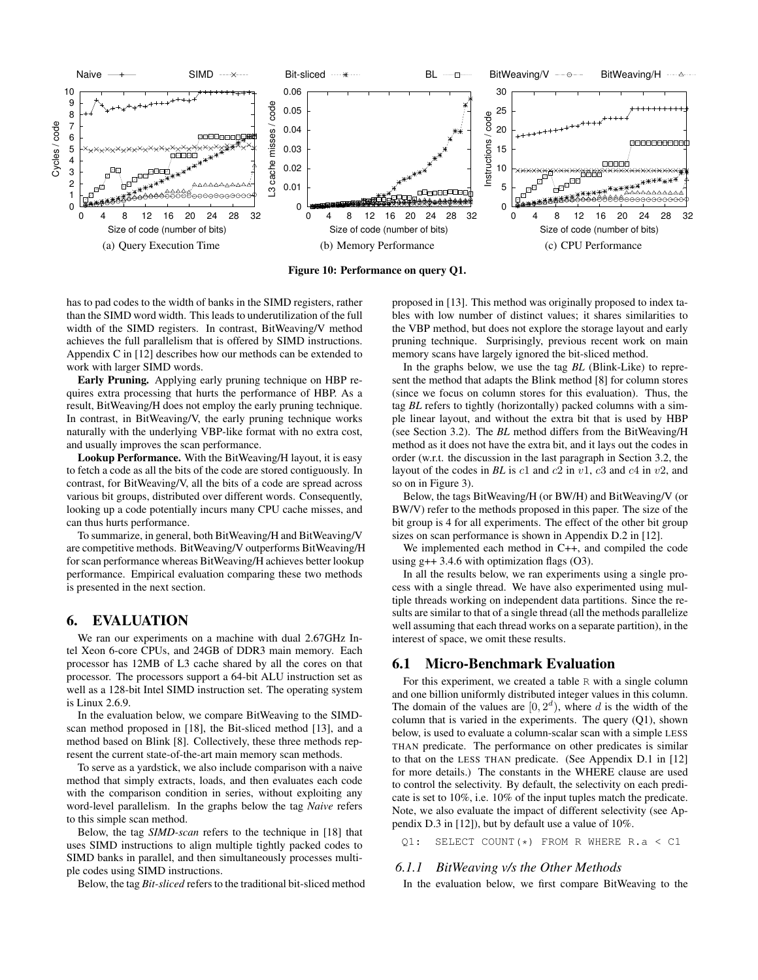

Figure 10: Performance on query Q1.

has to pad codes to the width of banks in the SIMD registers, rather than the SIMD word width. This leads to underutilization of the full width of the SIMD registers. In contrast, BitWeaving/V method achieves the full parallelism that is offered by SIMD instructions. Appendix C in [12] describes how our methods can be extended to work with larger SIMD words.

Early Pruning. Applying early pruning technique on HBP requires extra processing that hurts the performance of HBP. As a result, BitWeaving/H does not employ the early pruning technique. In contrast, in BitWeaving/V, the early pruning technique works naturally with the underlying VBP-like format with no extra cost, and usually improves the scan performance.

Lookup Performance. With the BitWeaving/H layout, it is easy to fetch a code as all the bits of the code are stored contiguously. In contrast, for BitWeaving/V, all the bits of a code are spread across various bit groups, distributed over different words. Consequently, looking up a code potentially incurs many CPU cache misses, and can thus hurts performance.

To summarize, in general, both BitWeaving/H and BitWeaving/V are competitive methods. BitWeaving/V outperforms BitWeaving/H for scan performance whereas BitWeaving/H achieves better lookup performance. Empirical evaluation comparing these two methods is presented in the next section.

# 6. EVALUATION

We ran our experiments on a machine with dual 2.67GHz Intel Xeon 6-core CPUs, and 24GB of DDR3 main memory. Each processor has 12MB of L3 cache shared by all the cores on that processor. The processors support a 64-bit ALU instruction set as well as a 128-bit Intel SIMD instruction set. The operating system is Linux 2.6.9.

In the evaluation below, we compare BitWeaving to the SIMDscan method proposed in [18], the Bit-sliced method [13], and a method based on Blink [8]. Collectively, these three methods represent the current state-of-the-art main memory scan methods.

To serve as a yardstick, we also include comparison with a naive method that simply extracts, loads, and then evaluates each code with the comparison condition in series, without exploiting any word-level parallelism. In the graphs below the tag *Naive* refers to this simple scan method.

Below, the tag *SIMD-scan* refers to the technique in [18] that uses SIMD instructions to align multiple tightly packed codes to SIMD banks in parallel, and then simultaneously processes multiple codes using SIMD instructions.

Below, the tag *Bit-sliced* refers to the traditional bit-sliced method

proposed in [13]. This method was originally proposed to index tables with low number of distinct values; it shares similarities to the VBP method, but does not explore the storage layout and early pruning technique. Surprisingly, previous recent work on main memory scans have largely ignored the bit-sliced method.

In the graphs below, we use the tag *BL* (Blink-Like) to represent the method that adapts the Blink method [8] for column stores (since we focus on column stores for this evaluation). Thus, the tag *BL* refers to tightly (horizontally) packed columns with a simple linear layout, and without the extra bit that is used by HBP (see Section 3.2). The *BL* method differs from the BitWeaving/H method as it does not have the extra bit, and it lays out the codes in order (w.r.t. the discussion in the last paragraph in Section 3.2, the layout of the codes in *BL* is c1 and c2 in v1, c3 and c4 in v2, and so on in Figure 3).

Below, the tags BitWeaving/H (or BW/H) and BitWeaving/V (or BW/V) refer to the methods proposed in this paper. The size of the bit group is 4 for all experiments. The effect of the other bit group sizes on scan performance is shown in Appendix D.2 in [12].

We implemented each method in C++, and compiled the code using  $g++3.4.6$  with optimization flags (O3).

In all the results below, we ran experiments using a single process with a single thread. We have also experimented using multiple threads working on independent data partitions. Since the results are similar to that of a single thread (all the methods parallelize well assuming that each thread works on a separate partition), in the interest of space, we omit these results.

# 6.1 Micro-Benchmark Evaluation

For this experiment, we created a table R with a single column and one billion uniformly distributed integer values in this column. The domain of the values are  $[0, 2^d)$ , where d is the width of the column that is varied in the experiments. The query (Q1), shown below, is used to evaluate a column-scalar scan with a simple LESS THAN predicate. The performance on other predicates is similar to that on the LESS THAN predicate. (See Appendix D.1 in [12] for more details.) The constants in the WHERE clause are used to control the selectivity. By default, the selectivity on each predicate is set to 10%, i.e. 10% of the input tuples match the predicate. Note, we also evaluate the impact of different selectivity (see Appendix D.3 in [12]), but by default use a value of 10%.

Q1: SELECT COUNT(\*) FROM R WHERE R.a < C1

#### *6.1.1 BitWeaving v/s the Other Methods*

In the evaluation below, we first compare BitWeaving to the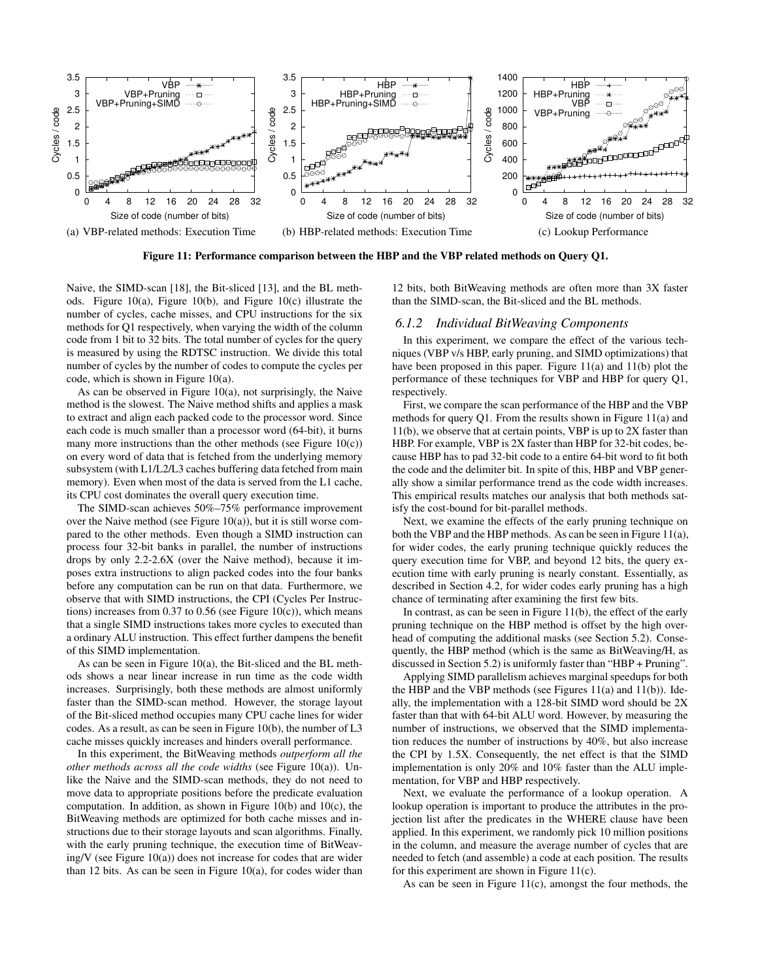

Figure 11: Performance comparison between the HBP and the VBP related methods on Query Q1.

Naive, the SIMD-scan [18], the Bit-sliced [13], and the BL methods. Figure 10(a), Figure 10(b), and Figure 10(c) illustrate the number of cycles, cache misses, and CPU instructions for the six methods for Q1 respectively, when varying the width of the column code from 1 bit to 32 bits. The total number of cycles for the query is measured by using the RDTSC instruction. We divide this total number of cycles by the number of codes to compute the cycles per code, which is shown in Figure 10(a).

As can be observed in Figure 10(a), not surprisingly, the Naive method is the slowest. The Naive method shifts and applies a mask to extract and align each packed code to the processor word. Since each code is much smaller than a processor word (64-bit), it burns many more instructions than the other methods (see Figure 10(c)) on every word of data that is fetched from the underlying memory subsystem (with L1/L2/L3 caches buffering data fetched from main memory). Even when most of the data is served from the L1 cache, its CPU cost dominates the overall query execution time.

The SIMD-scan achieves 50%–75% performance improvement over the Naive method (see Figure 10(a)), but it is still worse compared to the other methods. Even though a SIMD instruction can process four 32-bit banks in parallel, the number of instructions drops by only 2.2-2.6X (over the Naive method), because it imposes extra instructions to align packed codes into the four banks before any computation can be run on that data. Furthermore, we observe that with SIMD instructions, the CPI (Cycles Per Instructions) increases from  $0.37$  to  $0.56$  (see Figure 10(c)), which means that a single SIMD instructions takes more cycles to executed than a ordinary ALU instruction. This effect further dampens the benefit of this SIMD implementation.

As can be seen in Figure 10(a), the Bit-sliced and the BL methods shows a near linear increase in run time as the code width increases. Surprisingly, both these methods are almost uniformly faster than the SIMD-scan method. However, the storage layout of the Bit-sliced method occupies many CPU cache lines for wider codes. As a result, as can be seen in Figure 10(b), the number of L3 cache misses quickly increases and hinders overall performance.

In this experiment, the BitWeaving methods *outperform all the other methods across all the code widths* (see Figure 10(a)). Unlike the Naive and the SIMD-scan methods, they do not need to move data to appropriate positions before the predicate evaluation computation. In addition, as shown in Figure 10(b) and 10(c), the BitWeaving methods are optimized for both cache misses and instructions due to their storage layouts and scan algorithms. Finally, with the early pruning technique, the execution time of BitWeaving/V (see Figure 10(a)) does not increase for codes that are wider than 12 bits. As can be seen in Figure 10(a), for codes wider than

12 bits, both BitWeaving methods are often more than 3X faster than the SIMD-scan, the Bit-sliced and the BL methods.

# *6.1.2 Individual BitWeaving Components*

In this experiment, we compare the effect of the various techniques (VBP v/s HBP, early pruning, and SIMD optimizations) that have been proposed in this paper. Figure 11(a) and 11(b) plot the performance of these techniques for VBP and HBP for query Q1, respectively.

First, we compare the scan performance of the HBP and the VBP methods for query Q1. From the results shown in Figure 11(a) and 11(b), we observe that at certain points, VBP is up to 2X faster than HBP. For example, VBP is 2X faster than HBP for 32-bit codes, because HBP has to pad 32-bit code to a entire 64-bit word to fit both the code and the delimiter bit. In spite of this, HBP and VBP generally show a similar performance trend as the code width increases. This empirical results matches our analysis that both methods satisfy the cost-bound for bit-parallel methods.

Next, we examine the effects of the early pruning technique on both the VBP and the HBP methods. As can be seen in Figure 11(a), for wider codes, the early pruning technique quickly reduces the query execution time for VBP, and beyond 12 bits, the query execution time with early pruning is nearly constant. Essentially, as described in Section 4.2, for wider codes early pruning has a high chance of terminating after examining the first few bits.

In contrast, as can be seen in Figure 11(b), the effect of the early pruning technique on the HBP method is offset by the high overhead of computing the additional masks (see Section 5.2). Consequently, the HBP method (which is the same as BitWeaving/H, as discussed in Section 5.2) is uniformly faster than "HBP + Pruning".

Applying SIMD parallelism achieves marginal speedups for both the HBP and the VBP methods (see Figures 11(a) and 11(b)). Ideally, the implementation with a 128-bit SIMD word should be 2X faster than that with 64-bit ALU word. However, by measuring the number of instructions, we observed that the SIMD implementation reduces the number of instructions by 40%, but also increase the CPI by 1.5X. Consequently, the net effect is that the SIMD implementation is only 20% and 10% faster than the ALU implementation, for VBP and HBP respectively.

Next, we evaluate the performance of a lookup operation. A lookup operation is important to produce the attributes in the projection list after the predicates in the WHERE clause have been applied. In this experiment, we randomly pick 10 million positions in the column, and measure the average number of cycles that are needed to fetch (and assemble) a code at each position. The results for this experiment are shown in Figure 11(c).

As can be seen in Figure 11(c), amongst the four methods, the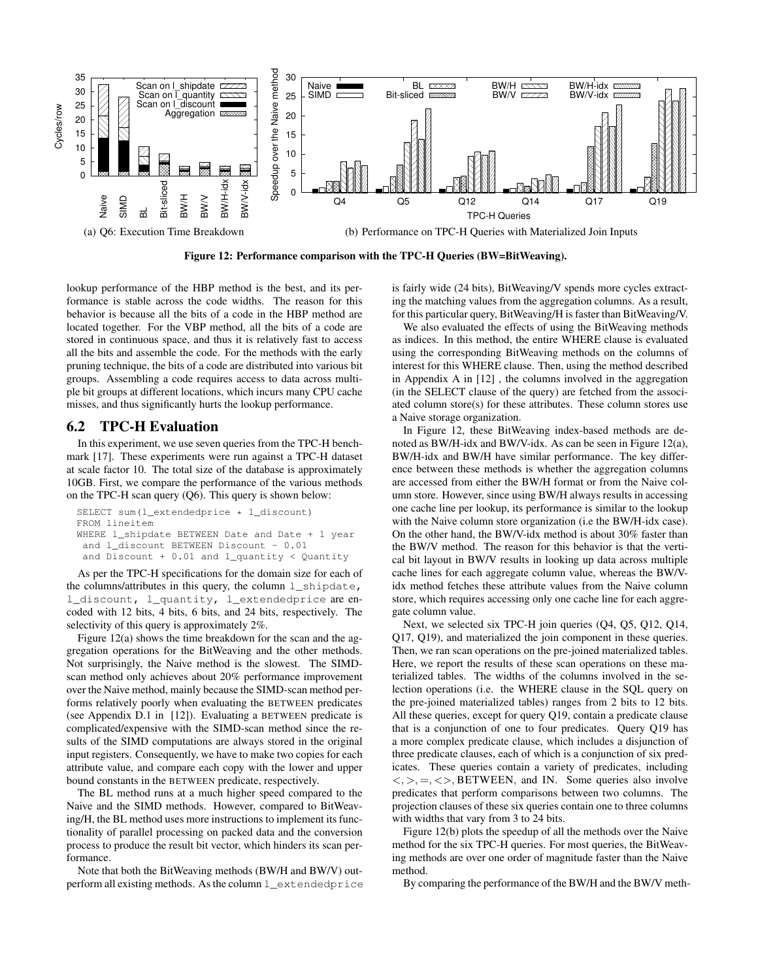

Figure 12: Performance comparison with the TPC-H Queries (BW=BitWeaving).

lookup performance of the HBP method is the best, and its performance is stable across the code widths. The reason for this behavior is because all the bits of a code in the HBP method are located together. For the VBP method, all the bits of a code are stored in continuous space, and thus it is relatively fast to access all the bits and assemble the code. For the methods with the early pruning technique, the bits of a code are distributed into various bit groups. Assembling a code requires access to data across multiple bit groups at different locations, which incurs many CPU cache misses, and thus significantly hurts the lookup performance.

# 6.2 TPC-H Evaluation

In this experiment, we use seven queries from the TPC-H benchmark [17]. These experiments were run against a TPC-H dataset at scale factor 10. The total size of the database is approximately 10GB. First, we compare the performance of the various methods on the TPC-H scan query (Q6). This query is shown below:

```
SELECT sum(l_extendedprice * l_discount)
FROM lineitem
WHERE l_shipdate BETWEEN Date and Date + 1 year
 and l_discount BETWEEN Discount - 0.01
 and Discount + 0.01 and l_quantity < Quantity
```
As per the TPC-H specifications for the domain size for each of the columns/attributes in this query, the column l\_shipdate, l\_discount, l\_quantity, l\_extendedprice are encoded with 12 bits, 4 bits, 6 bits, and 24 bits, respectively. The selectivity of this query is approximately 2%.

Figure 12(a) shows the time breakdown for the scan and the aggregation operations for the BitWeaving and the other methods. Not surprisingly, the Naive method is the slowest. The SIMDscan method only achieves about 20% performance improvement over the Naive method, mainly because the SIMD-scan method performs relatively poorly when evaluating the BETWEEN predicates (see Appendix D.1 in [12]). Evaluating a BETWEEN predicate is complicated/expensive with the SIMD-scan method since the results of the SIMD computations are always stored in the original input registers. Consequently, we have to make two copies for each attribute value, and compare each copy with the lower and upper bound constants in the BETWEEN predicate, respectively.

The BL method runs at a much higher speed compared to the Naive and the SIMD methods. However, compared to BitWeaving/H, the BL method uses more instructions to implement its functionality of parallel processing on packed data and the conversion process to produce the result bit vector, which hinders its scan performance.

Note that both the BitWeaving methods (BW/H and BW/V) outperform all existing methods. As the column  $l$  extendedprice is fairly wide (24 bits), BitWeaving/V spends more cycles extracting the matching values from the aggregation columns. As a result, for this particular query, BitWeaving/H is faster than BitWeaving/V.

We also evaluated the effects of using the BitWeaving methods as indices. In this method, the entire WHERE clause is evaluated using the corresponding BitWeaving methods on the columns of interest for this WHERE clause. Then, using the method described in Appendix A in [12] , the columns involved in the aggregation (in the SELECT clause of the query) are fetched from the associated column store(s) for these attributes. These column stores use a Naive storage organization.

In Figure 12, these BitWeaving index-based methods are denoted as BW/H-idx and BW/V-idx. As can be seen in Figure 12(a), BW/H-idx and BW/H have similar performance. The key difference between these methods is whether the aggregation columns are accessed from either the BW/H format or from the Naive column store. However, since using BW/H always results in accessing one cache line per lookup, its performance is similar to the lookup with the Naive column store organization (i.e the BW/H-idx case). On the other hand, the BW/V-idx method is about 30% faster than the BW/V method. The reason for this behavior is that the vertical bit layout in BW/V results in looking up data across multiple cache lines for each aggregate column value, whereas the BW/Vidx method fetches these attribute values from the Naive column store, which requires accessing only one cache line for each aggregate column value.

Next, we selected six TPC-H join queries (Q4, Q5, Q12, Q14, Q17, Q19), and materialized the join component in these queries. Then, we ran scan operations on the pre-joined materialized tables. Here, we report the results of these scan operations on these materialized tables. The widths of the columns involved in the selection operations (i.e. the WHERE clause in the SQL query on the pre-joined materialized tables) ranges from 2 bits to 12 bits. All these queries, except for query Q19, contain a predicate clause that is a conjunction of one to four predicates. Query Q19 has a more complex predicate clause, which includes a disjunction of three predicate clauses, each of which is a conjunction of six predicates. These queries contain a variety of predicates, including  $\langle , \rangle =, \langle \rangle$ , BETWEEN, and IN. Some queries also involve predicates that perform comparisons between two columns. The projection clauses of these six queries contain one to three columns with widths that vary from 3 to 24 bits.

Figure 12(b) plots the speedup of all the methods over the Naive method for the six TPC-H queries. For most queries, the BitWeaving methods are over one order of magnitude faster than the Naive method.

By comparing the performance of the BW/H and the BW/V meth-